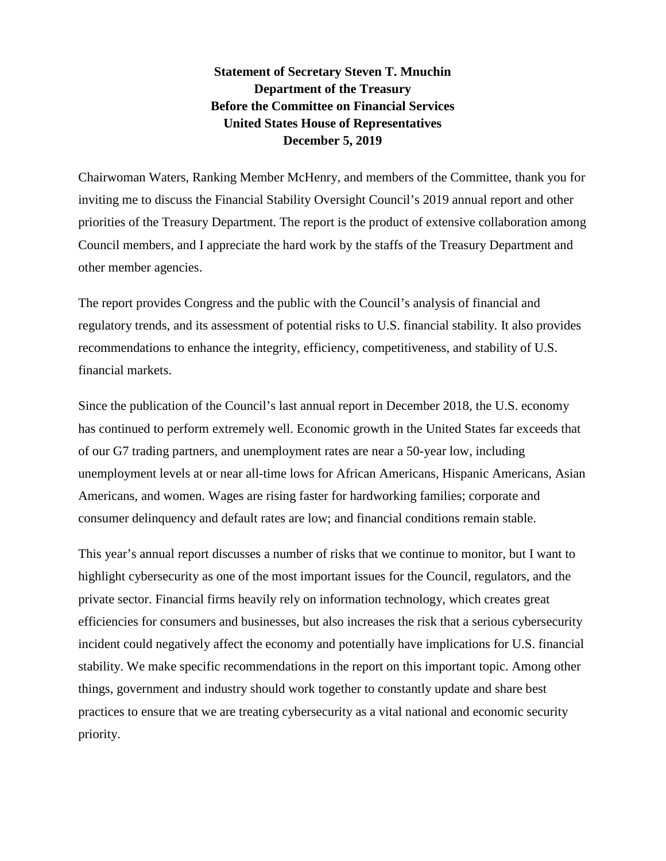**Statement of Secretary Steven T. Mnuchin Department of the Treasury Before the Committee on Financial Services United States House of Representatives December 5, 2019**

Chairwoman Waters, Ranking Member McHenry, and members of the Committee, thank you for inviting me to discuss the Financial Stability Oversight Council's 2019 annual report and other priorities of the Treasury Department. The report is the product of extensive collaboration among Council members, and I appreciate the hard work by the staffs of the Treasury Department and other member agencies.

The report provides Congress and the public with the Council's analysis of financial and regulatory trends, and its assessment of potential risks to U.S. financial stability. It also provides recommendations to enhance the integrity, efficiency, competitiveness, and stability of U.S. financial markets.

Since the publication of the Council's last annual report in December 2018, the U.S. economy has continued to perform extremely well. Economic growth in the United States far exceeds that of our G7 trading partners, and unemployment rates are near a 50-year low, including unemployment levels at or near all-time lows for African Americans, Hispanic Americans, Asian Americans, and women. Wages are rising faster for hardworking families; corporate and consumer delinquency and default rates are low; and financial conditions remain stable.

This year's annual report discusses a number of risks that we continue to monitor, but I want to highlight cybersecurity as one of the most important issues for the Council, regulators, and the private sector. Financial firms heavily rely on information technology, which creates great efficiencies for consumers and businesses, but also increases the risk that a serious cybersecurity incident could negatively affect the economy and potentially have implications for U.S. financial stability. We make specific recommendations in the report on this important topic. Among other things, government and industry should work together to constantly update and share best practices to ensure that we are treating cybersecurity as a vital national and economic security priority.